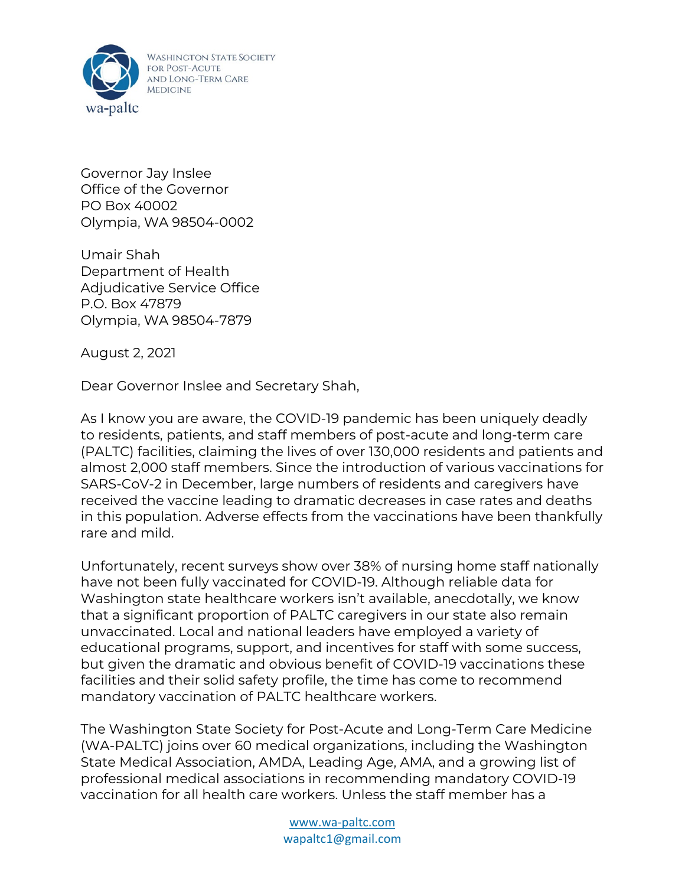

Governor Jay Inslee Office of the Governor PO Box 40002 Olympia, WA 98504-0002

Umair Shah Department of Health Adjudicative Service Office P.O. Box 47879 Olympia, WA 98504-7879

August 2, 2021

Dear Governor Inslee and Secretary Shah,

As I know you are aware, the COVID-19 pandemic has been uniquely deadly to residents, patients, and staff members of post-acute and long-term care (PALTC) facilities, claiming the lives of over 130,000 residents and patients and almost 2,000 staff members. Since the introduction of various vaccinations for SARS-CoV-2 in December, large numbers of residents and caregivers have received the vaccine leading to dramatic decreases in case rates and deaths in this population. Adverse effects from the vaccinations have been thankfully rare and mild.

Unfortunately, recent surveys show over 38% of nursing home staff nationally have not been fully vaccinated for COVID-19. Although reliable data for Washington state healthcare workers isn't available, anecdotally, we know that a significant proportion of PALTC caregivers in our state also remain unvaccinated. Local and national leaders have employed a variety of educational programs, support, and incentives for staff with some success, but given the dramatic and obvious benefit of COVID-19 vaccinations these facilities and their solid safety profile, the time has come to recommend mandatory vaccination of PALTC healthcare workers.

The Washington State Society for Post-Acute and Long-Term Care Medicine (WA-PALTC) joins over 60 medical organizations, including the Washington State Medical Association, AMDA, Leading Age, AMA, and a growing list of professional medical associations in recommending mandatory COVID-19 vaccination for all health care workers. Unless the staff member has a

> www.wa-paltc.com wapaltc1@gmail.com